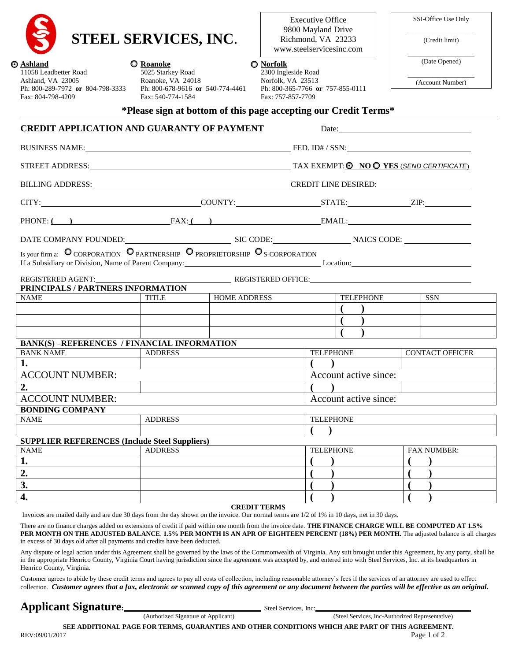## **STEEL SERVICES, INC**.

| <b>S</b> Ashland                 | <b>O</b> Roanoke                 | ◯ Norfolk   |
|----------------------------------|----------------------------------|-------------|
| 11058 Leadbetter Road            | 5025 Starkey Road                | $2300$ Ingl |
| Ashland, VA 23005                | Roanoke, VA 24018                | Norfolk.    |
| Ph: 800-289-7972 or 804-798-3333 | Ph: 800-678-9616 or 540-774-4461 | Ph: $800-3$ |
| Fax: 804-798-4209                | Fax: 540-774-1584                | Fax: 757    |

Executive Office 9800 Mayland Drive Richmond, VA 23233 www.steelservicesinc.com

Ph: 800-365-7766 **or** 757-855-0111

2300 Ingleside Road Norfolk, VA 23513

Fax: 757-857-7709

| SSI-Office Use Only |  |
|---------------------|--|
|                     |  |

 $\_$ (Credit limit)

 $\_$ (Date Opened)

 $\_$ (Account Number)

| *Please sign at bottom of this page accepting our Credit Terms* |  |  |  |
|-----------------------------------------------------------------|--|--|--|
|-----------------------------------------------------------------|--|--|--|

## **CREDIT APPLICATION AND GUARANTY OF PAYMENT** Date: BUSINESS NAME: FED. ID# / SSN: STREET ADDRESS: TAX EXEMPT: **O** NO **O** YES *(SEND CERTIFICATE)* BILLING ADDRESS: CREDIT LINE DESIRED: CITY: COUNTY: STATE: ZIP: PHONE: **( )** FAX: **( )** EMAIL: DATE COMPANY FOUNDED: SIC CODE: NAICS CODE: Is your firm a:  $\overline{O}$  CORPORATION  $\overline{O}$  partnership  $\overline{O}$  proprietorship  $\overline{O}$  s-corporation If a Subsidiary or Division, Name of Parent Company: Location: Location: Location: REGISTERED AGENT: REGISTERED OFFICE: **PRINCIPALS / PARTNERS INFORMATION**  NAME TITLE HOME ADDRESS TELEPHONE SSN **( ) ( ) ( ) BANK(S) –REFERENCES / FINANCIAL INFORMATION**  BANK NAME ADDRESS RELEPHONE CONTACT OFFICER **1. ( )** ACCOUNT NUMBER:  $\qquad \qquad$  Account active since: **2. ( )** ACCOUNT NUMBER:  $\vert$  Account active since: **BONDING COMPANY**  NAME ADDRESS TELEPHONE **( ) SUPPLIER REFERENCES (Include Steel Suppliers)**  NAME ADDRESS FELEPHONE FAX NUMBER: **1. ( ) ( ) 2. ( ) ( ) 3. ( ) ( ) 4. ( ) ( )**

**CREDIT TERMS**

Invoices are mailed daily and are due 30 days from the day shown on the invoice. Our normal terms are 1/2 of 1% in 10 days, net in 30 days.

There are no finance charges added on extensions of credit if paid within one month from the invoice date. **THE FINANCE CHARGE WILL BE COMPUTED AT 1.5% PER MONTH ON THE ADJUSTED BALANCE**. **1.5% PER MONTH IS AN APR OF EIGHTEEN PERCENT (18%) PER MONTH.** The adjusted balance is all charges in excess of 30 days old after all payments and credits have been deducted.

Any dispute or legal action under this Agreement shall be governed by the laws of the Commonwealth of Virginia. Any suit brought under this Agreement, by any party, shall be in the appropriate Henrico County, Virginia Court having jurisdiction since the agreement was accepted by, and entered into with Steel Services, Inc. at its headquarters in Henrico County, Virginia.

Customer agrees to abide by these credit terms and agrees to pay all costs of collection, including reasonable attorney's fees if the services of an attorney are used to effect collection. *Customer agrees that a fax, electronic or scanned copy of this agreement or any document between the parties will be effective as an original.*

# **Applicant Signature:** *(Authorized Signature of Applicant)* Steel Services, Inc:

(Steel Services, Inc-Authorized Representative)

**SEE ADDITIONAL PAGE FOR TERMS, GUARANTIES AND OTHER CONDITIONS WHICH ARE PART OF THIS AGREEMENT.**